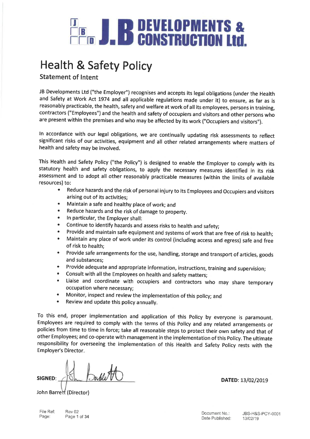

## **Health & Safety Policy**

**Statement of Intent** 

JB Developments Ltd ("the Employer") recognises and accepts its legal obligations (under the Health and Safety at Work Act 1974 and all applicable regulations made under it) to ensure, as far as is reasonably practicable, the health, safety and welfare at work of all its employees, persons in training, contractors ("Employees") and the health and safety of occupiers and visitors and other persons who are present within the premises and who may be affected by its work ("Occupiers and visitors").

In accordance with our legal obligations, we are continually updating risk assessments to reflect significant risks of our activities, equipment and all other related arrangements where matters of health and safety may be involved.

This Health and Safety Policy ("the Policy") is designed to enable the Employer to comply with its statutory health and safety obligations, to apply the necessary measures identified in its risk assessment and to adopt all other reasonably practicable measures (within the limits of available resources) to:

- Reduce hazards and the risk of personal injury to its Employees and Occupiers and visitors  $\bullet$ arising out of its activities:
- Maintain a safe and healthy place of work; and
- Reduce hazards and the risk of damage to property.  $\bullet$
- $\bullet$ In particular, the Employer shall:
- $\bullet$ Continue to identify hazards and assess risks to health and safety;
- $\bullet$ Provide and maintain safe equipment and systems of work that are free of risk to health;
- Maintain any place of work under its control (including access and egress) safe and free  $\bullet$ of risk to health:
- Provide safe arrangements for the use, handling, storage and transport of articles, goods  $\bullet$ and substances;
- Provide adequate and appropriate information, instructions, training and supervision;
- $\bullet$ Consult with all the Employees on health and safety matters;
- Liaise and coordinate with occupiers and contractors who may share temporary  $\bullet$ occupation where necessary;
- Monitor, inspect and review the implementation of this policy; and
- Review and update this policy annually.

To this end, proper implementation and application of this Policy by everyone is paramount. Employees are required to comply with the terms of this Policy and any related arrangements or policies from time to time in force; take all reasonable steps to protect their own safety and that of other Employees; and co-operate with management in the implementation of this Policy. The ultimate responsibility for overseeing the implementation of this Health and Safety Policy rests with the **Employer's Director.** 

SIGNED:

John Barrett (Director)

File Ref: **Rev 02** Page: Page 1 of 34 DATED: 13/02/2019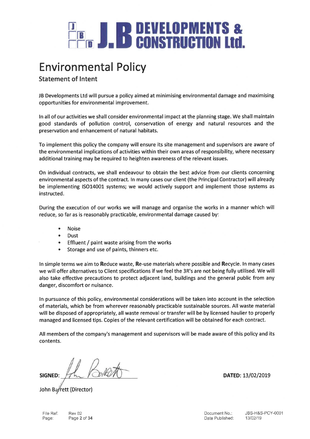

## **Environmental Policy**

**Statement of Intent** 

JB Developments Ltd will pursue a policy aimed at minimising environmental damage and maximising opportunities for environmental improvement.

In all of our activities we shall consider environmental impact at the planning stage. We shall maintain good standards of pollution control, conservation of energy and natural resources and the preservation and enhancement of natural habitats.

To implement this policy the company will ensure its site management and supervisors are aware of the environmental implications of activities within their own areas of responsibility, where necessary additional training may be required to heighten awareness of the relevant issues.

On individual contracts, we shall endeavour to obtain the best advice from our clients concerning environmental aspects of the contract. In many cases our client (the Principal Contractor) will already be implementing ISO14001 systems; we would actively support and implement those systems as instructed.

During the execution of our works we will manage and organise the works in a manner which will reduce, so far as is reasonably practicable, environmental damage caused by:

- **Noise**
- **Dust**
- Effluent / paint waste arising from the works
- Storage and use of paints, thinners etc.

In simple terms we aim to Reduce waste, Re-use materials where possible and Recycle. In many cases we will offer alternatives to Client specifications if we feel the 3R's are not being fully utilised. We will also take effective precautions to protect adjacent land, buildings and the general public from any danger, discomfort or nuisance.

In pursuance of this policy, environmental considerations will be taken into account in the selection of materials, which be from wherever reasonably practicable sustainable sources. All waste material will be disposed of appropriately, all waste removal or transfer will be by licensed haulier to properly managed and licensed tips. Copies of the relevant certification will be obtained for each contract.

All members of the company's management and supervisors will be made aware of this policy and its contents.

**SIGNED:** 

John Barrett (Director)

DATED: 13/02/2019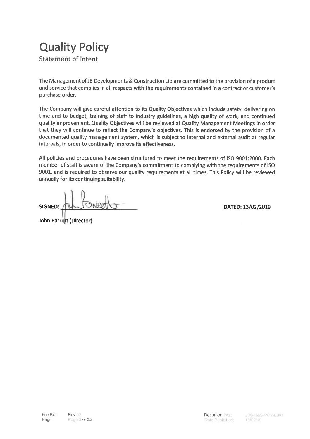## **Quality Policy Statement of Intent**

The Management of JB Developments & Construction Ltd are committed to the provision of a product and service that complies in all respects with the requirements contained in a contract or customer's purchase order.

The Company will give careful attention to its Quality Objectives which include safety, delivering on time and to budget, training of staff to industry guidelines, a high quality of work, and continued quality improvement. Quality Objectives will be reviewed at Quality Management Meetings in order that they will continue to reflect the Company's objectives. This is endorsed by the provision of a documented quality management system, which is subject to internal and external audit at regular intervals, in order to continually improve its effectiveness.

All policies and procedures have been structured to meet the requirements of ISO 9001:2000. Each member of staff is aware of the Company's commitment to complying with the requirements of ISO 9001, and is required to observe our quality requirements at all times. This Policy will be reviewed annually for its continuing suitability.

SIGNED:

DATED: 13/02/2019

John Barrett (Director)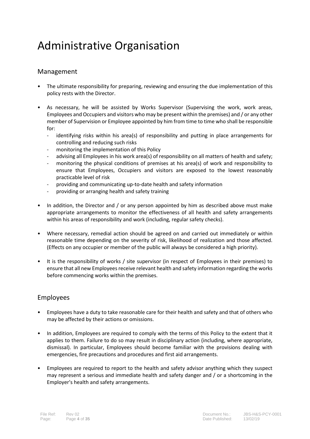## Administrative Organisation

## Management

- The ultimate responsibility for preparing, reviewing and ensuring the due implementation of this policy rests with the Director.
- As necessary, he will be assisted by Works Supervisor (Supervising the work, work areas, Employees and Occupiers and visitors who may be present within the premises) and / or any other member of Supervision or Employee appointed by him from time to time who shall be responsible for:
	- identifying risks within his area(s) of responsibility and putting in place arrangements for controlling and reducing such risks
	- monitoring the implementation of this Policy
	- advising all Employees in his work area(s) of responsibility on all matters of health and safety;
	- monitoring the physical conditions of premises at his area(s) of work and responsibility to ensure that Employees, Occupiers and visitors are exposed to the lowest reasonably practicable level of risk
	- providing and communicating up-to-date health and safety information
	- providing or arranging health and safety training
- In addition, the Director and / or any person appointed by him as described above must make appropriate arrangements to monitor the effectiveness of all health and safety arrangements within his areas of responsibility and work (including, regular safety checks).
- Where necessary, remedial action should be agreed on and carried out immediately or within reasonable time depending on the severity of risk, likelihood of realization and those affected. (Effects on any occupier or member of the public will always be considered a high priority).
- It is the responsibility of works / site supervisor (in respect of Employees in their premises) to ensure that all new Employees receive relevant health and safety information regarding the works before commencing works within the premises.

## Employees

- Employees have a duty to take reasonable care for their health and safety and that of others who may be affected by their actions or omissions.
- In addition, Employees are required to comply with the terms of this Policy to the extent that it applies to them. Failure to do so may result in disciplinary action (including, where appropriate, dismissal). In particular, Employees should become familiar with the provisions dealing with emergencies, fire precautions and procedures and first aid arrangements.
- Employees are required to report to the health and safety advisor anything which they suspect may represent a serious and immediate health and safety danger and / or a shortcoming in the Employer's health and safety arrangements.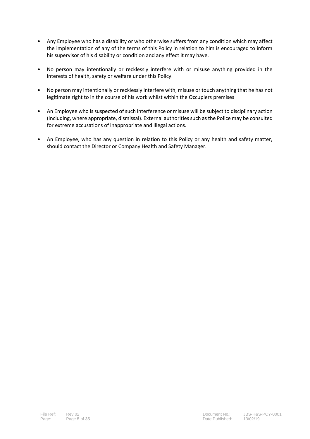- Any Employee who has a disability or who otherwise suffers from any condition which may affect the implementation of any of the terms of this Policy in relation to him is encouraged to inform his supervisor of his disability or condition and any effect it may have.
- No person may intentionally or recklessly interfere with or misuse anything provided in the interests of health, safety or welfare under this Policy.
- No person may intentionally or recklessly interfere with, misuse or touch anything that he has not legitimate right to in the course of his work whilst within the Occupiers premises
- An Employee who is suspected of such interference or misuse will be subject to disciplinary action (including, where appropriate, dismissal). External authorities such as the Police may be consulted for extreme accusations of inappropriate and illegal actions.
- An Employee, who has any question in relation to this Policy or any health and safety matter, should contact the Director or Company Health and Safety Manager.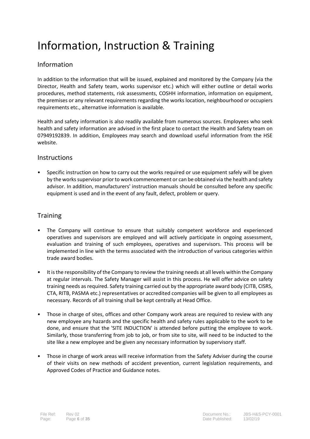## Information, Instruction & Training

## Information

In addition to the information that will be issued, explained and monitored by the Company (via the Director, Health and Safety team, works supervisor etc.) which will either outline or detail works procedures, method statements, risk assessments, COSHH information, information on equipment, the premises or any relevant requirements regarding the works location, neighbourhood or occupiers requirements etc., alternative information is available.

Health and safety information is also readily available from numerous sources. Employees who seek health and safety information are advised in the first place to contact the Health and Safety team on 07949192839. In addition, Employees may search and download useful information from the HSE website.

#### **Instructions**

• Specific instruction on how to carry out the works required or use equipment safely will be given by the works supervisor prior to work commencement or can be obtained via the health and safety advisor. In addition, manufacturers' instruction manuals should be consulted before any specific equipment is used and in the event of any fault, defect, problem or query.

### **Training**

- The Company will continue to ensure that suitably competent workforce and experienced operatives and supervisors are employed and will actively participate in ongoing assessment, evaluation and training of such employees, operatives and supervisors. This process will be implemented in line with the terms associated with the introduction of various categories within trade award bodies.
- It is the responsibility of the Company to review the training needs at all levels within the Company at regular intervals. The Safety Manager will assist in this process. He will offer advice on safety training needs as required. Safety training carried out by the appropriate award body (CITB, CISRS, CTA, RITB, PASMA etc.) representatives or accredited companies will be given to all employees as necessary. Records of all training shall be kept centrally at Head Office.
- Those in charge of sites, offices and other Company work areas are required to review with any new employee any hazards and the specific health and safety rules applicable to the work to be done, and ensure that the 'SITE INDUCTION' is attended before putting the employee to work. Similarly, those transferring from job to job, or from site to site, will need to be inducted to the site like a new employee and be given any necessary information by supervisory staff.
- Those in charge of work areas will receive information from the Safety Adviser during the course of their visits on new methods of accident prevention, current legislation requirements, and Approved Codes of Practice and Guidance notes.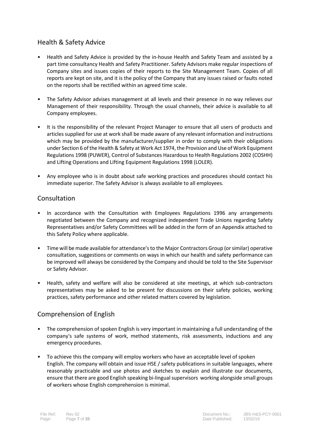## Health & Safety Advice

- Health and Safety Advice is provided by the in-house Health and Safety Team and assisted by a part time consultancy Health and Safety Practitioner. Safety Advisors make regular inspections of Company sites and issues copies of their reports to the Site Management Team. Copies of all reports are kept on site, and it is the policy of the Company that any issues raised or faults noted on the reports shall be rectified within an agreed time scale.
- The Safety Advisor advises management at all levels and their presence in no way relieves our Management of their responsibility. Through the usual channels, their advice is available to all Company employees.
- It is the responsibility of the relevant Project Manager to ensure that all users of products and articles supplied for use at work shall be made aware of any relevant information and instructions which may be provided by the manufacturer/supplier in order to comply with their obligations under Section 6 of the Health & Safety at Work Act 1974, the Provision and Use of Work Equipment Regulations 1998 (PUWER), Control of Substances Hazardous to Health Regulations 2002 (COSHH) and Lifting Operations and Lifting Equipment Regulations 1998 (LOLER).
- Any employee who is in doubt about safe working practices and procedures should contact his immediate superior. The Safety Advisor is always available to all employees.

## **Consultation**

- In accordance with the Consultation with Employees Regulations 1996 any arrangements negotiated between the Company and recognized independent Trade Unions regarding Safety Representatives and/or Safety Committees will be added in the form of an Appendix attached to this Safety Policy where applicable.
- Time will be made available for attendance's to the Major Contractors Group (or similar) operative consultation, suggestions or comments on ways in which our health and safety performance can be improved will always be considered by the Company and should be told to the Site Supervisor or Safety Advisor.
- Health, safety and welfare will also be considered at site meetings, at which sub-contractors representatives may be asked to be present for discussions on their safety policies, working practices, safety performance and other related matters covered by legislation.

## Comprehension of English

- The comprehension of spoken English is very important in maintaining a full understanding of the company's safe systems of work, method statements, risk assessments, inductions and any emergency procedures.
- To achieve this the company will employ workers who have an acceptable level of spoken English. The company will obtain and issue HSE / safety publications in suitable languages, where reasonably practicable and use photos and sketches to explain and illustrate our documents, ensure that there are good English speaking bi-lingual supervisors working alongside small groups of workers whose English comprehension is minimal.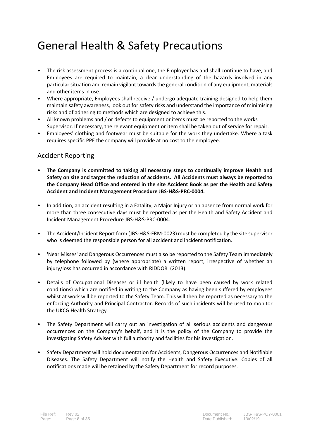## General Health & Safety Precautions

- The risk assessment process is a continual one, the Employer has and shall continue to have, and Employees are required to maintain, a clear understanding of the hazards involved in any particular situation and remain vigilant towards the general condition of any equipment, materials and other items in use.
- Where appropriate, Employees shall receive / undergo adequate training designed to help them maintain safety awareness, look out for safety risks and understand the importance of minimising risks and of adhering to methods which are designed to achieve this.
- All known problems and / or defects to equipment or items must be reported to the works Supervisor. If necessary, the relevant equipment or item shall be taken out of service for repair.
- Employees' clothing and footwear must be suitable for the work they undertake. Where a task requires specific PPE the company will provide at no cost to the employee.

## Accident Reporting

- **The Company is committed to taking all necessary steps to continually improve Health and Safety on site and target the reduction of accidents. All Accidents must always be reported to the Company Head Office and entered in the site Accident Book as per the Health and Safety Accident and Incident Management Procedure JBS-H&S-PRC-0004.**
- In addition, an accident resulting in a Fatality, a Major Injury or an absence from normal work for more than three consecutive days must be reported as per the Health and Safety Accident and Incident Management Procedure JBS-H&S-PRC-0004.
- The Accident/Incident Report form (JBS-H&S-FRM-0023) must be completed by the site supervisor who is deemed the responsible person for all accident and incident notification.
- 'Near Misses' and Dangerous Occurrences must also be reported to the Safety Team immediately by telephone followed by (where appropriate) a written report, irrespective of whether an injury/loss has occurred in accordance with RIDDOR (2013).
- Details of Occupational Diseases or ill health (likely to have been caused by work related conditions) which are notified in writing to the Company as having been suffered by employees whilst at work will be reported to the Safety Team. This will then be reported as necessary to the enforcing Authority and Principal Contractor. Records of such incidents will be used to monitor the UKCG Health Strategy.
- The Safety Department will carry out an investigation of all serious accidents and dangerous occurrences on the Company's behalf, and it is the policy of the Company to provide the investigating Safety Adviser with full authority and facilities for his investigation.
- Safety Department will hold documentation for Accidents, Dangerous Occurrences and Notifiable Diseases. The Safety Department will notify the Health and Safety Executive. Copies of all notifications made will be retained by the Safety Department for record purposes.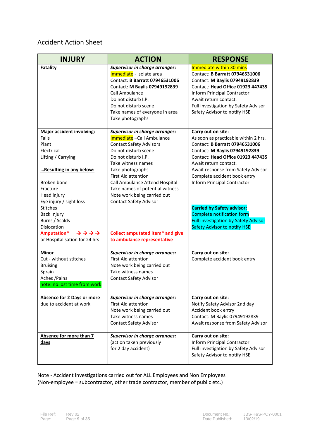## Accident Action Sheet

| <b>INJURY</b>                                                                                                                                                                                                                                                                    | <b>ACTION</b>                                                                                                                                                                                                                                                                                                                                                                                                | <b>RESPONSE</b>                                                                                                                                                                                                                                                                                                                                                                                                                                                  |
|----------------------------------------------------------------------------------------------------------------------------------------------------------------------------------------------------------------------------------------------------------------------------------|--------------------------------------------------------------------------------------------------------------------------------------------------------------------------------------------------------------------------------------------------------------------------------------------------------------------------------------------------------------------------------------------------------------|------------------------------------------------------------------------------------------------------------------------------------------------------------------------------------------------------------------------------------------------------------------------------------------------------------------------------------------------------------------------------------------------------------------------------------------------------------------|
| Fatality                                                                                                                                                                                                                                                                         | <b>Supervisor in charge arranges:</b><br>Immediate - Isolate area<br>Contact: B Barratt 07946531006<br>Contact: M Baylis 07949192839<br>Call Ambulance<br>Do not disturb I.P.<br>Do not disturb scene<br>Take names of everyone in area<br>Take photographs                                                                                                                                                  | Immediate within 30 mins<br>Contact: B Barratt 07946531006<br>Contact: M Baylis 07949192839<br>Contact: Head Office 01923 447435<br>Inform Principal Contractor<br>Await return contact.<br>Full investigation by Safety Advisor<br>Safety Advisor to notify HSE                                                                                                                                                                                                 |
| <b>Major accident involving:</b><br>Falls<br>Plant<br>Electrical<br>Lifting / Carrying<br>Resulting in any below:<br>Broken bone<br>Fracture<br>Head injury<br>Eye injury / sight loss<br><b>Stitches</b><br>Back Injury<br>Burns / Scalds<br>Dislocation<br>Amputation*<br>ララララ | <b>Supervisor in charge arranges:</b><br>Immediate - Call Ambulance<br><b>Contact Safety Advisors</b><br>Do not disturb scene<br>Do not disturb I.P.<br>Take witness names<br>Take photographs<br><b>First Aid attention</b><br>Call Ambulance Attend Hospital<br>Take names of potential witness<br>Note work being carried out<br><b>Contact Safety Advisor</b><br><b>Collect amputated item* and give</b> | Carry out on site:<br>As soon as practicable within 2 hrs.<br>Contact: B Barratt 07946531006<br>Contact: M Baylis 07949192839<br><b>Contact: Head Office 01923 447435</b><br>Await return contact.<br>Await response from Safety Advisor<br>Complete accident book entry<br>Inform Principal Contractor<br><b>Carried by Safety advisor:</b><br>Complete notification form<br><b>Full investigation by Safety Advisor</b><br><b>Safety Advisor to notify HSE</b> |
| or Hospitalisation for 24 hrs<br><b>Minor</b><br>Cut - without stitches<br><b>Bruising</b><br>Sprain<br>Aches / Pains<br>note: no lost time from work                                                                                                                            | to ambulance representative<br><b>Supervisor in charge arranges:</b><br><b>First Aid attention</b><br>Note work being carried out<br>Take witness names<br><b>Contact Safety Advisor</b>                                                                                                                                                                                                                     | Carry out on site:<br>Complete accident book entry                                                                                                                                                                                                                                                                                                                                                                                                               |
| <b>Absence for 2 Days or more</b><br>due to accident at work                                                                                                                                                                                                                     | <b>Supervisor in charge arranges:</b><br><b>First Aid attention</b><br>Note work being carried out<br>Take witness names<br><b>Contact Safety Advisor</b>                                                                                                                                                                                                                                                    | Carry out on site:<br>Notify Safety Advisor 2nd day<br>Accident book entry<br>Contact: M Baylis 07949192839<br>Await response from Safety Advisor                                                                                                                                                                                                                                                                                                                |
| Absence for more than 7<br><u>days</u>                                                                                                                                                                                                                                           | <b>Supervisor in charge arranges:</b><br>(action taken previously<br>for 2 day accident)                                                                                                                                                                                                                                                                                                                     | Carry out on site:<br>Inform Principal Contractor<br>Full investigation by Safety Advisor<br>Safety Advisor to notify HSE                                                                                                                                                                                                                                                                                                                                        |

Note - Accident investigations carried out for ALL Employees and Non Employees (Non-employee = subcontractor, other trade contractor, member of public etc.)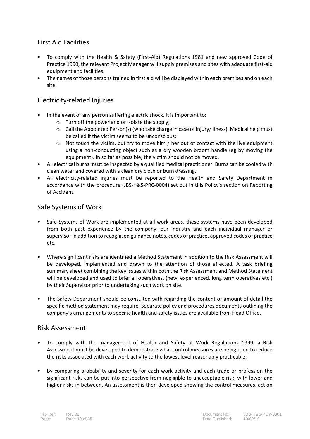## First Aid Facilities

- To comply with the Health & Safety (First-Aid) Regulations 1981 and new approved Code of Practice 1990, the relevant Project Manager will supply premises and sites with adequate first-aid equipment and facilities.
- The names of those persons trained in first aid will be displayed within each premises and on each site.

## Electricity-related Injuries

- In the event of any person suffering electric shock, it is important to:
	- o Turn off the power and or isolate the supply;
	- o Call the Appointed Person(s) (who take charge in case of injury/illness). Medical help must be called if the victim seems to be unconscious;
	- $\circ$  Not touch the victim, but try to move him / her out of contact with the live equipment using a non-conducting object such as a dry wooden broom handle (eg by moving the equipment). In so far as possible, the victim should not be moved.
- All electrical burns must be inspected by a qualified medical practitioner. Burns can be cooled with clean water and covered with a clean dry cloth or burn dressing.
- All electricity-related injuries must be reported to the Health and Safety Department in accordance with the procedure (JBS-H&S-PRC-0004) set out in this Policy's section on Reporting of Accident.

## Safe Systems of Work

- Safe Systems of Work are implemented at all work areas, these systems have been developed from both past experience by the company, our industry and each individual manager or supervisor in addition to recognised guidance notes, codes of practice, approved codes of practice etc.
- Where significant risks are identified a Method Statement in addition to the Risk Assessment will be developed, implemented and drawn to the attention of those affected. A task briefing summary sheet combining the key issues within both the Risk Assessment and Method Statement will be developed and used to brief all operatives, (new, experienced, long term operatives etc.) by their Supervisor prior to undertaking such work on site.
- The Safety Department should be consulted with regarding the content or amount of detail the specific method statement may require. Separate policy and procedures documents outlining the company's arrangements to specific health and safety issues are available from Head Office.

#### Risk Assessment

- To comply with the management of Health and Safety at Work Regulations 1999, a Risk Assessment must be developed to demonstrate what control measures are being used to reduce the risks associated with each work activity to the lowest level reasonably practicable.
- By comparing probability and severity for each work activity and each trade or profession the significant risks can be put into perspective from negligible to unacceptable risk, with lower and higher risks in between. An assessment is then developed showing the control measures, action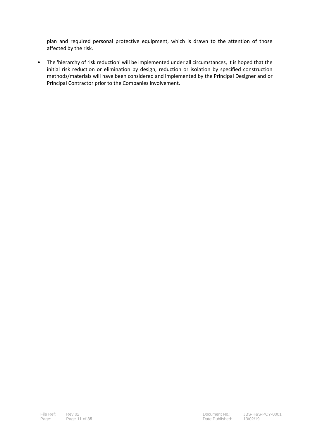plan and required personal protective equipment, which is drawn to the attention of those affected by the risk.

• The 'hierarchy of risk reduction' will be implemented under all circumstances, it is hoped that the initial risk reduction or elimination by design, reduction or isolation by specified construction methods/materials will have been considered and implemented by the Principal Designer and or Principal Contractor prior to the Companies involvement.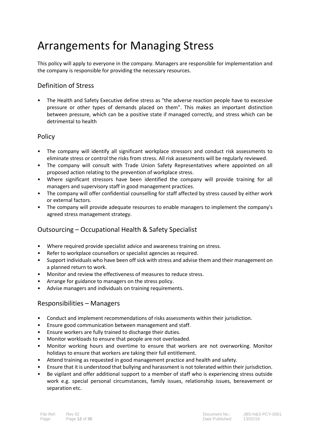## Arrangements for Managing Stress

This policy will apply to everyone in the company. Managers are responsible for implementation and the company is responsible for providing the necessary resources.

## Definition of Stress

• The Health and Safety Executive define stress as "the adverse reaction people have to excessive pressure or other types of demands placed on them". This makes an important distinction between pressure, which can be a positive state if managed correctly, and stress which can be detrimental to health

### Policy

- The company will identify all significant workplace stressors and conduct risk assessments to eliminate stress or control the risks from stress. All risk assessments will be regularly reviewed.
- The company will consult with Trade Union Safety Representatives where appointed on all proposed action relating to the prevention of workplace stress.
- Where significant stressors have been identified the company will provide training for all managers and supervisory staff in good management practices.
- The company will offer confidential counselling for staff affected by stress caused by either work or external factors.
- The company will provide adequate resources to enable managers to implement the company's agreed stress management strategy.

## Outsourcing – Occupational Health & Safety Specialist

- Where required provide specialist advice and awareness training on stress.
- Refer to workplace counsellors or specialist agencies as required.
- Support individuals who have been off sick with stress and advise them and their management on a planned return to work.
- Monitor and review the effectiveness of measures to reduce stress.
- Arrange for guidance to managers on the stress policy.
- Advise managers and individuals on training requirements.

## Responsibilities – Managers

- Conduct and implement recommendations of risks assessments within their jurisdiction.
- Ensure good communication between management and staff.
- Ensure workers are fully trained to discharge their duties.
- Monitor workloads to ensure that people are not overloaded.
- Monitor working hours and overtime to ensure that workers are not overworking. Monitor holidays to ensure that workers are taking their full entitlement.
- Attend training as requested in good management practice and health and safety.
- Ensure that it is understood that bullying and harassment is not tolerated within their jurisdiction.
- Be vigilant and offer additional support to a member of staff who is experiencing stress outside work e.g. special personal circumstances, family issues, relationship issues, bereavement or separation etc.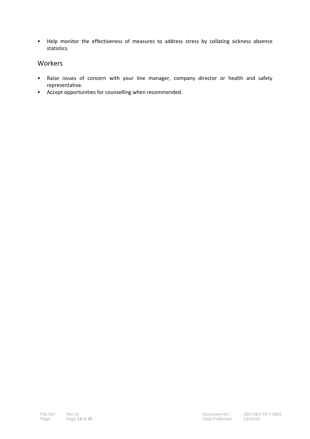• Help monitor the effectiveness of measures to address stress by collating sickness absence statistics.

### Workers

- Raise issues of concern with your line manager, company director or health and safety representative.
- Accept opportunities for counselling when recommended.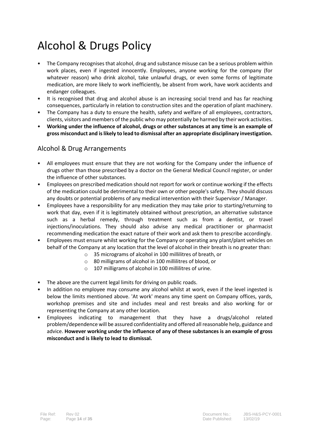# Alcohol & Drugs Policy

- The Company recognises that alcohol, drug and substance misuse can be a serious problem within work places, even if ingested innocently. Employees, anyone working for the company (for whatever reason) who drink alcohol, take unlawful drugs, or even some forms of legitimate medication, are more likely to work inefficiently, be absent from work, have work accidents and endanger colleagues.
- It is recognised that drug and alcohol abuse is an increasing social trend and has far reaching consequences, particularly in relation to construction sites and the operation of plant machinery.
- The Company has a duty to ensure the health, safety and welfare of all employees, contractors, clients, visitors and members of the public who may potentially be harmed by their work activities.
- **Working under the influence of alcohol, drugs or other substances at any time is an example of gross misconduct and is likely to lead to dismissal after an appropriate disciplinary investigation.**

## Alcohol & Drug Arrangements

- All employees must ensure that they are not working for the Company under the influence of drugs other than those prescribed by a doctor on the General Medical Council register, or under the influence of other substances.
- Employees on prescribed medication should not report for work or continue working if the effects of the medication could be detrimental to their own or other people's safety. They should discuss any doubts or potential problems of any medical intervention with their Supervisor / Manager.
- Employees have a responsibility for any medication they may take prior to starting/returning to work that day, even if it is legitimately obtained without prescription, an alternative substance such as a herbal remedy, through treatment such as from a dentist, or travel injections/inoculations. They should also advise any medical practitioner or pharmacist recommending medication the exact nature of their work and ask them to prescribe accordingly.
- Employees must ensure whilst working for the Company or operating any plant/plant vehicles on behalf of the Company at any location that the level of alcohol in their breath is no greater than:
	- o 35 micrograms of alcohol in 100 millilitres of breath, or
		- o 80 milligrams of alcohol in 100 millilitres of blood, or
		- o 107 milligrams of alcohol in 100 millilitres of urine.
- The above are the current legal limits for driving on public roads.
- In addition no employee may consume any alcohol whilst at work, even if the level ingested is below the limits mentioned above. 'At work' means any time spent on Company offices, yards, workshop premises and site and includes meal and rest breaks and also working for or representing the Company at any other location.
- Employees indicating to management that they have a drugs/alcohol related problem/dependence will be assured confidentiality and offered all reasonable help, guidance and advice. **However working under the influence of any of these substances is an example of gross misconduct and is likely to lead to dismissal.**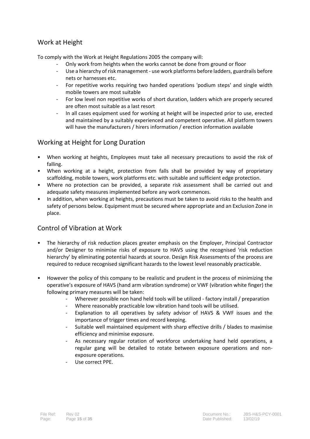## Work at Height

To comply with the Work at Height Regulations 2005 the company will:

- Only work from heights when the works cannot be done from ground or floor
- Use a hierarchy of risk management use work platforms before ladders, guardrails before nets or harnesses etc.
- For repetitive works requiring two handed operations 'podium steps' and single width mobile towers are most suitable
- For low level non repetitive works of short duration, ladders which are properly secured are often most suitable as a last resort
- In all cases equipment used for working at height will be inspected prior to use, erected and maintained by a suitably experienced and competent operative. All platform towers will have the manufacturers / hirers information / erection information available

## Working at Height for Long Duration

- When working at heights, Employees must take all necessary precautions to avoid the risk of falling.
- When working at a height, protection from falls shall be provided by way of proprietary scaffolding, mobile towers, work platforms etc. with suitable and sufficient edge protection.
- Where no protection can be provided, a separate risk assessment shall be carried out and adequate safety measures implemented before any work commences.
- In addition, when working at heights, precautions must be taken to avoid risks to the health and safety of persons below. Equipment must be secured where appropriate and an Exclusion Zone in place.

## Control of Vibration at Work

- The hierarchy of risk reduction places greater emphasis on the Employer, Principal Contractor and/or Designer to minimise risks of exposure to HAVS using the recognised 'risk reduction hierarchy' by eliminating potential hazards at source. Design Risk Assessments of the process are required to reduce recognised significant hazards to the lowest level reasonably practicable.
- However the policy of this company to be realistic and prudent in the process of minimizing the operative's exposure of HAVS (hand arm vibration syndrome) or VWF (vibration white finger) the following primary measures will be taken:
	- Wherever possible non hand held tools will be utilized factory install / preparation
	- Where reasonably practicable low vibration hand tools will be utilised.
	- Explanation to all operatives by safety advisor of HAVS & VWF issues and the importance of trigger times and record keeping.
	- Suitable well maintained equipment with sharp effective drills / blades to maximise efficiency and minimise exposure.
	- As necessary regular rotation of workforce undertaking hand held operations, a regular gang will be detailed to rotate between exposure operations and nonexposure operations.
	- Use correct PPE.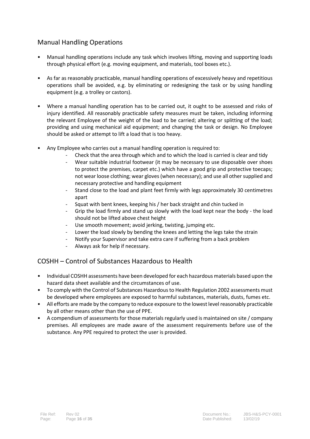## Manual Handling Operations

- Manual handling operations include any task which involves lifting, moving and supporting loads through physical effort (e.g. moving equipment, and materials, tool boxes etc.).
- As far as reasonably practicable, manual handling operations of excessively heavy and repetitious operations shall be avoided, e.g. by eliminating or redesigning the task or by using handling equipment (e.g. a trolley or castors).
- Where a manual handling operation has to be carried out, it ought to be assessed and risks of injury identified. All reasonably practicable safety measures must be taken, including informing the relevant Employee of the weight of the load to be carried; altering or splitting of the load; providing and using mechanical aid equipment; and changing the task or design. No Employee should be asked or attempt to lift a load that is too heavy.
- Any Employee who carries out a manual handling operation is required to:
	- Check that the area through which and to which the load is carried is clear and tidy
	- Wear suitable industrial footwear (it may be necessary to use disposable over shoes to protect the premises, carpet etc.) which have a good grip and protective toecaps; not wear loose clothing; wear gloves (when necessary); and use all other supplied and necessary protective and handling equipment
	- Stand close to the load and plant feet firmly with legs approximately 30 centimetres apart
	- Squat with bent knees, keeping his / her back straight and chin tucked in
	- Grip the load firmly and stand up slowly with the load kept near the body the load should not be lifted above chest height
	- Use smooth movement; avoid jerking, twisting, jumping etc.
	- Lower the load slowly by bending the knees and letting the legs take the strain
	- Notify your Supervisor and take extra care if suffering from a back problem
	- Always ask for help if necessary.

## COSHH – Control of Substances Hazardous to Health

- Individual COSHH assessments have been developed for each hazardous materials based upon the hazard data sheet available and the circumstances of use.
- To comply with the Control of Substances Hazardous to Health Regulation 2002 assessments must be developed where employees are exposed to harmful substances, materials, dusts, fumes etc.
- All efforts are made by the company to reduce exposure to the lowest level reasonably practicable by all other means other than the use of PPE.
- A compendium of assessments for those materials regularly used is maintained on site / company premises. All employees are made aware of the assessment requirements before use of the substance. Any PPE required to protect the user is provided.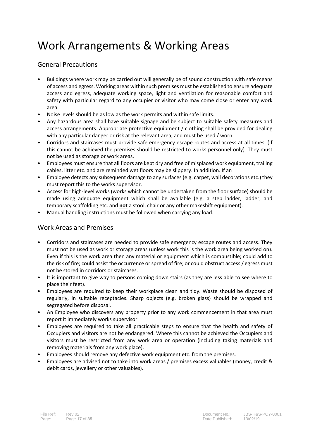## Work Arrangements & Working Areas

## General Precautions

- Buildings where work may be carried out will generally be of sound construction with safe means of access and egress. Working areas within such premises must be established to ensure adequate access and egress, adequate working space, light and ventilation for reasonable comfort and safety with particular regard to any occupier or visitor who may come close or enter any work area.
- Noise levels should be as low as the work permits and within safe limits.
- Any hazardous area shall have suitable signage and be subject to suitable safety measures and access arrangements. Appropriate protective equipment / clothing shall be provided for dealing with any particular danger or risk at the relevant area, and must be used / worn.
- Corridors and staircases must provide safe emergency escape routes and access at all times. (If this cannot be achieved the premises should be restricted to works personnel only). They must not be used as storage or work areas.
- Employees must ensure that all floors are kept dry and free of misplaced work equipment, trailing cables, litter etc. and are reminded wet floors may be slippery. In addition. If an
- Employee detects any subsequent damage to any surfaces (e.g. carpet, wall decorations etc.) they must report this to the works supervisor.
- Access for high-level works (works which cannot be undertaken from the floor surface) should be made using adequate equipment which shall be available (e.g. a step ladder, ladder, and temporary scaffolding etc. and **not** a stool, chair or any other makeshift equipment).
- Manual handling instructions must be followed when carrying any load.

## Work Areas and Premises

- Corridors and staircases are needed to provide safe emergency escape routes and access. They must not be used as work or storage areas (unless work this is the work area being worked on). Even if this is the work area then any material or equipment which is combustible; could add to the risk of fire; could assist the occurrence or spread of fire; or could obstruct access / egress must not be stored in corridors or staircases.
- It is important to give way to persons coming down stairs (as they are less able to see where to place their feet).
- Employees are required to keep their workplace clean and tidy. Waste should be disposed of regularly, in suitable receptacles. Sharp objects (e.g. broken glass) should be wrapped and segregated before disposal.
- An Employee who discovers any property prior to any work commencement in that area must report it immediately works supervisor.
- Employees are required to take all practicable steps to ensure that the health and safety of Occupiers and visitors are not be endangered. Where this cannot be achieved the Occupiers and visitors must be restricted from any work area or operation (including taking materials and removing materials from any work place).
- Employees should remove any defective work equipment etc. from the premises.
- Employees are advised not to take into work areas / premises excess valuables (money, credit & debit cards, jewellery or other valuables).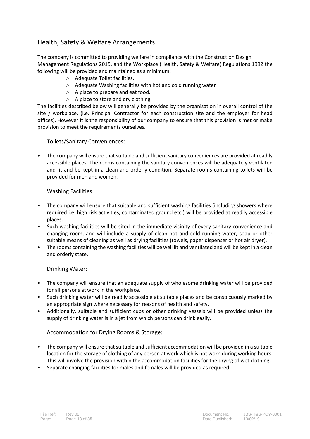## Health, Safety & Welfare Arrangements

The company is committed to providing welfare in compliance with the Construction Design Management Regulations 2015, and the Workplace (Health, Safety & Welfare) Regulations 1992 the following will be provided and maintained as a minimum:

- o Adequate Toilet facilities.
- o Adequate Washing facilities with hot and cold running water
- o A place to prepare and eat food.
- o A place to store and dry clothing

The facilities described below will generally be provided by the organisation in overall control of the site / workplace, (i.e. Principal Contractor for each construction site and the employer for head offices). However it is the responsibility of our company to ensure that this provision is met or make provision to meet the requirements ourselves.

#### Toilets/Sanitary Conveniences:

• The company will ensure that suitable and sufficient sanitary conveniences are provided at readily accessible places. The rooms containing the sanitary conveniences will be adequately ventilated and lit and be kept in a clean and orderly condition. Separate rooms containing toilets will be provided for men and women.

#### Washing Facilities:

- The company will ensure that suitable and sufficient washing facilities (including showers where required i.e. high risk activities, contaminated ground etc.) will be provided at readily accessible places.
- Such washing facilities will be sited in the immediate vicinity of every sanitary convenience and changing room, and will include a supply of clean hot and cold running water, soap or other suitable means of cleaning as well as drying facilities (towels, paper dispenser or hot air dryer).
- The rooms containing the washing facilities will be well lit and ventilated and will be kept in a clean and orderly state.

#### Drinking Water:

- The company will ensure that an adequate supply of wholesome drinking water will be provided for all persons at work in the workplace.
- Such drinking water will be readily accessible at suitable places and be conspicuously marked by an appropriate sign where necessary for reasons of health and safety.
- Additionally, suitable and sufficient cups or other drinking vessels will be provided unless the supply of drinking water is in a jet from which persons can drink easily.

#### Accommodation for Drying Rooms & Storage:

- The company will ensure that suitable and sufficient accommodation will be provided in a suitable location for the storage of clothing of any person at work which is not worn during working hours. This will involve the provision within the accommodation facilities for the drying of wet clothing.
- Separate changing facilities for males and females will be provided as required.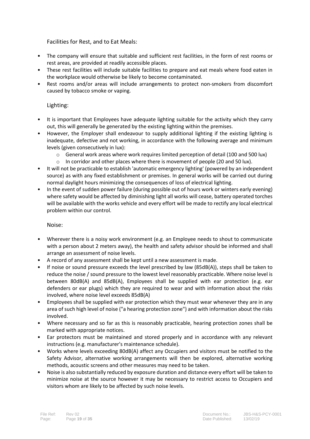Facilities for Rest, and to Eat Meals:

- The company will ensure that suitable and sufficient rest facilities, in the form of rest rooms or rest areas, are provided at readily accessible places.
- These rest facilities will include suitable facilities to prepare and eat meals where food eaten in the workplace would otherwise be likely to become contaminated.
- Rest rooms and/or areas will include arrangements to protect non-smokers from discomfort caused by tobacco smoke or vaping.

#### Lighting:

- It is important that Employees have adequate lighting suitable for the activity which they carry out, this will generally be generated by the existing lighting within the premises.
- However, the Employer shall endeavour to supply additional lighting if the existing lighting is inadequate, defective and not working, in accordance with the following average and minimum levels (given consecutively in lux):
	- o General work areas where work requires limited perception of detail (100 and 500 lux)
	- $\circ$  In corridor and other places where there is movement of people (20 and 50 lux).
- It will not be practicable to establish 'automatic emergency lighting' (powered by an independent source) as with any fixed establishment or premises. In general works will be carried out during normal daylight hours minimizing the consequences of loss of electrical lighting.
- In the event of sudden power failure (during possible out of hours work or winters early evening) where safety would be affected by diminishing light all works will cease, battery operated torches will be available with the works vehicle and every effort will be made to rectify any local electrical problem within our control.

#### Noise:

- Wherever there is a noisy work environment (e.g. an Employee needs to shout to communicate with a person about 2 meters away), the health and safety advisor should be informed and shall arrange an assessment of noise levels.
- A record of any assessment shall be kept until a new assessment is made.
- If noise or sound pressure exceeds the level prescribed by law (85dB(A)), steps shall be taken to reduce the noise / sound pressure to the lowest level reasonably practicable. Where noise level is between 80dB(A) and 85dB(A), Employees shall be supplied with ear protection (e.g. ear defenders or ear plugs) which they are required to wear and with information about the risks involved, where noise level exceeds 85dB(A)
- Employees shall be supplied with ear protection which they must wear whenever they are in any area of such high level of noise ("a hearing protection zone") and with information about the risks involved.
- Where necessary and so far as this is reasonably practicable, hearing protection zones shall be marked with appropriate notices.
- Ear protectors must be maintained and stored properly and in accordance with any relevant instructions (e.g. manufacturer's maintenance schedule).
- Works where levels exceeding 80dB(A) affect any Occupiers and visitors must be notified to the Safety Advisor, alternative working arrangements will then be explored, alternative working methods, acoustic screens and other measures may need to be taken.
- Noise is also substantially reduced by exposure duration and distance every effort will be taken to minimize noise at the source however it may be necessary to restrict access to Occupiers and visitors whom are likely to be affected by such noise levels.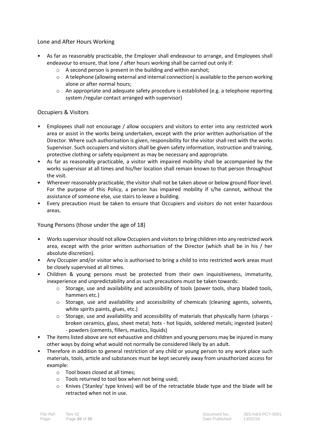#### Lone and After Hours Working

- As far as reasonably practicable, the Employer shall endeavour to arrange, and Employees shall endeavour to ensure, that lone / after hours working shall be carried out only if:
	- $\circ$  A second person is present in the building and within earshot;
	- $\circ$  A telephone (allowing external and internal connection) is available to the person working alone or after normal hours;
	- o An appropriate and adequate safety procedure is established (e.g. a telephone reporting system /regular contact arranged with supervisor)

#### Occupiers & Visitors

- Employees shall not encourage / allow occupiers and visitors to enter into any restricted work area or assist in the works being undertaken, except with the prior written authorisation of the Director. Where such authorisation is given, responsibility for the visitor shall rest with the works Supervisor. Such occupiers and visitors shall be given safety information, instruction and training, protective clothing or safety equipment as may be necessary and appropriate.
- As far as reasonably practicable, a visitor with impaired mobility shall be accompanied by the works supervisor at all times and his/her location shall remain known to that person throughout the visit.
- Wherever reasonably practicable, the visitor shall not be taken above or below ground floor level. For the purpose of this Policy, a person has impaired mobility if s/he cannot, without the assistance of someone else, use stairs to leave a building.
- Every precaution must be taken to ensure that Occupiers and visitors do not enter hazardous areas.

#### Young Persons (those under the age of 18)

- Works supervisor should not allow Occupiers and visitors to bring children into any restricted work area, except with the prior written authorisation of the Director (which shall be in his / her absolute discretion).
- Any Occupier and/or visitor who is authorised to bring a child to into restricted work areas must be closely supervised at all times.
- Children & young persons must be protected from their own inquisitiveness, immaturity, inexperience and unpredictability and as such precautions must be taken towards:
	- $\circ$  Storage, use and availability and accessibility of tools (power tools, sharp bladed tools, hammers etc.)
	- o Storage, use and availability and accessibility of chemicals (cleaning agents, solvents, white spirits paints, glues, etc.)
	- o Storage, use and availability and accessibility of materials that physically harm (sharps broken ceramics, glass, sheet metal; hots - hot liquids, soldered metals; ingested (eaten) - powders (cements, fillers, mastics, liquids)
- The items listed above are not exhaustive and children and young persons may be injured in many other ways by doing what would not normally be considered likely by an adult.
- Therefore in addition to general restriction of any child or young person to any work place such materials, tools, article and substances must be kept securely away from unauthorized access for example:
	- o Tool boxes closed at all times;
	- o Tools returned to tool box when not being used;
	- $\circ$  Knives ('Stanley' type knives) will be of the retractable blade type and the blade will be retracted when not in use.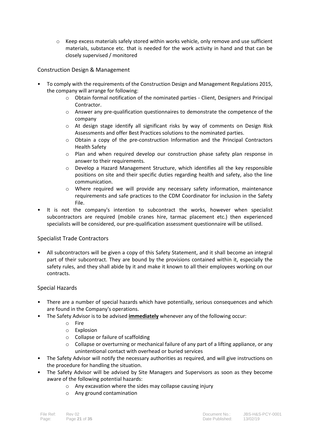o Keep excess materials safely stored within works vehicle, only remove and use sufficient materials, substance etc. that is needed for the work activity in hand and that can be closely supervised / monitored

#### Construction Design & Management

- To comply with the requirements of the Construction Design and Management Regulations 2015, the company will arrange for following:
	- $\circ$  Obtain formal notification of the nominated parties Client, Designers and Principal Contractor.
	- $\circ$  Answer any pre-qualification questionnaires to demonstrate the competence of the company
	- $\circ$  At design stage identify all significant risks by way of comments on Design Risk Assessments and offer Best Practices solutions to the nominated parties.
	- $\circ$  Obtain a copy of the pre-construction Information and the Principal Contractors Health Safety
	- o Plan and when required develop our construction phase safety plan response in answer to their requirements.
	- o Develop a Hazard Management Structure, which identifies all the key responsible positions on site and their specific duties regarding health and safety, also the line communication.
	- o Where required we will provide any necessary safety information, maintenance requirements and safe practices to the CDM Coordinator for inclusion in the Safety File.
- It is not the company's intention to subcontract the works, however when specialist subcontractors are required (mobile cranes hire, tarmac placement etc.) then experienced specialists will be considered, our pre-qualification assessment questionnaire will be utilised.

#### Specialist Trade Contractors

• All subcontractors will be given a copy of this Safety Statement, and it shall become an integral part of their subcontract. They are bound by the provisions contained within it, especially the safety rules, and they shall abide by it and make it known to all their employees working on our contracts.

#### Special Hazards

- There are a number of special hazards which have potentially, serious consequences and which are found in the Company's operations.
- The Safety Advisor is to be advised **immediately** whenever any of the following occur:
	- o Fire
	- o Explosion
	- o Collapse or failure of scaffolding
	- o Collapse or overturning or mechanical failure of any part of a lifting appliance, or any unintentional contact with overhead or buried services
- The Safety Advisor will notify the necessary authorities as required, and will give instructions on the procedure for handling the situation.
- The Safety Advisor will be advised by Site Managers and Supervisors as soon as they become aware of the following potential hazards:
	- o Any excavation where the sides may collapse causing injury
	- o Any ground contamination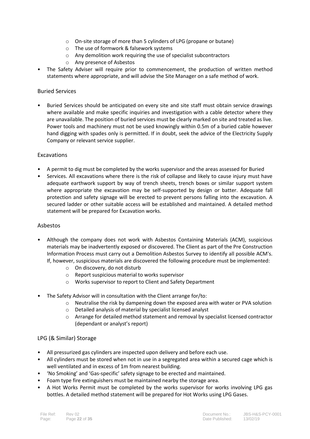- o On-site storage of more than 5 cylinders of LPG (propane or butane)
- o The use of formwork & falsework systems
- $\circ$  Any demolition work requiring the use of specialist subcontractors
- o Any presence of Asbestos
- The Safety Adviser will require prior to commencement, the production of written method statements where appropriate, and will advise the Site Manager on a safe method of work.

#### Buried Services

• Buried Services should be anticipated on every site and site staff must obtain service drawings where available and make specific inquiries and investigation with a cable detector where they are unavailable. The position of buried services must be clearly marked on site and treated as live. Power tools and machinery must not be used knowingly within 0.5m of a buried cable however hand digging with spades only is permitted. If in doubt, seek the advice of the Electricity Supply Company or relevant service supplier.

#### Excavations

- A permit to dig must be completed by the works supervisor and the areas assessed for Buried
- Services. All excavations where there is the risk of collapse and likely to cause injury must have adequate earthwork support by way of trench sheets, trench boxes or similar support system where appropriate the excavation may be self-supported by design or batter. Adequate fall protection and safety signage will be erected to prevent persons falling into the excavation. A secured ladder or other suitable access will be established and maintained. A detailed method statement will be prepared for Excavation works.

#### Asbestos

- Although the company does not work with Asbestos Containing Materials (ACM), suspicious materials may be inadvertently exposed or discovered. The Client as part of the Pre Construction Information Process must carry out a Demolition Asbestos Survey to identify all possible ACM's. If, however, suspicious materials are discovered the following procedure must be implemented:
	- o On discovery, do not disturb
	- o Report suspicious material to works supervisor
	- o Works supervisor to report to Client and Safety Department
- The Safety Advisor will in consultation with the Client arrange for/to:
	- $\circ$  Neutralise the risk by dampening down the exposed area with water or PVA solution
	- o Detailed analysis of material by specialist licensed analyst
	- $\circ$  Arrange for detailed method statement and removal by specialist licensed contractor (dependant or analyst's report)

#### LPG (& Similar) Storage

- All pressurized gas cylinders are inspected upon delivery and before each use.
- All cylinders must be stored when not in use in a segregated area within a secured cage which is well ventilated and in excess of 1m from nearest building.
- 'No Smoking' and 'Gas-specific' safety signage to be erected and maintained.
- Foam type fire extinguishers must be maintained nearby the storage area.
- A Hot Works Permit must be completed by the works supervisor for works involving LPG gas bottles. A detailed method statement will be prepared for Hot Works using LPG Gases.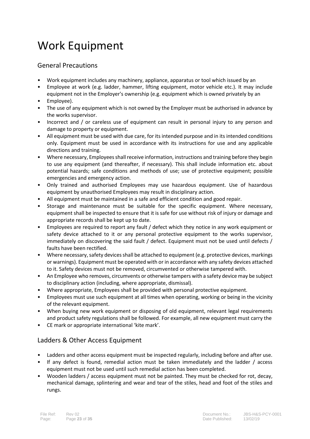## Work Equipment

## General Precautions

- Work equipment includes any machinery, appliance, apparatus or tool which issued by an
- Employee at work (e.g. ladder, hammer, lifting equipment, motor vehicle etc.). It may include equipment not in the Employer's ownership (e.g. equipment which is owned privately by an
- Employee).
- The use of any equipment which is not owned by the Employer must be authorised in advance by the works supervisor.
- Incorrect and / or careless use of equipment can result in personal injury to any person and damage to property or equipment.
- All equipment must be used with due care, for its intended purpose and in its intended conditions only. Equipment must be used in accordance with its instructions for use and any applicable directions and training.
- Where necessary, Employees shall receive information, instructions and training before they begin to use any equipment (and thereafter, if necessary). This shall include information etc. about potential hazards; safe conditions and methods of use; use of protective equipment; possible emergencies and emergency action.
- Only trained and authorised Employees may use hazardous equipment. Use of hazardous equipment by unauthorised Employees may result in disciplinary action.
- All equipment must be maintained in a safe and efficient condition and good repair.
- Storage and maintenance must be suitable for the specific equipment. Where necessary, equipment shall be inspected to ensure that it is safe for use without risk of injury or damage and appropriate records shall be kept up to date.
- Employees are required to report any fault / defect which they notice in any work equipment or safety device attached to it or any personal protective equipment to the works supervisor, immediately on discovering the said fault / defect. Equipment must not be used until defects / faults have been rectified.
- Where necessary, safety devices shall be attached to equipment (e.g. protective devices, markings or warnings). Equipment must be operated with or in accordance with any safety devices attached to it. Safety devices must not be removed, circumvented or otherwise tampered with.
- An Employee who removes, circumvents or otherwise tampers with a safety device may be subject to disciplinary action (including, where appropriate, dismissal).
- Where appropriate, Employees shall be provided with personal protective equipment.
- Employees must use such equipment at all times when operating, working or being in the vicinity of the relevant equipment.
- When buying new work equipment or disposing of old equipment, relevant legal requirements and product safety regulations shall be followed. For example, all new equipment must carry the
- CE mark or appropriate international 'kite mark'.

## Ladders & Other Access Equipment

- Ladders and other access equipment must be inspected regularly, including before and after use.
- If any defect is found, remedial action must be taken immediately and the ladder / access equipment must not be used until such remedial action has been completed.
- Wooden ladders / access equipment must not be painted. They must be checked for rot, decay, mechanical damage, splintering and wear and tear of the stiles, head and foot of the stiles and rungs.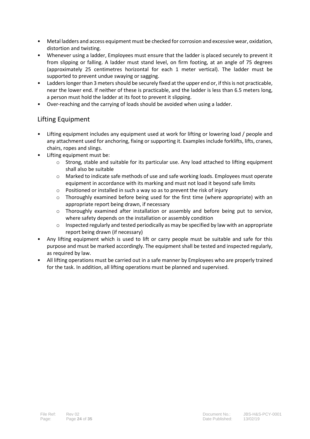- Metal ladders and access equipment must be checked for corrosion and excessive wear, oxidation, distortion and twisting.
- Whenever using a ladder, Employees must ensure that the ladder is placed securely to prevent it from slipping or falling. A ladder must stand level, on firm footing, at an angle of 75 degrees (approximately 25 centimetres horizontal for each 1 meter vertical). The ladder must be supported to prevent undue swaying or sagging.
- Ladders longer than 3 meters should be securely fixed at the upper end or, if this is not practicable, near the lower end. If neither of these is practicable, and the ladder is less than 6.5 meters long, a person must hold the ladder at its foot to prevent it slipping.
- Over-reaching and the carrying of loads should be avoided when using a ladder.

## Lifting Equipment

- Lifting equipment includes any equipment used at work for lifting or lowering load / people and any attachment used for anchoring, fixing or supporting it. Examples include forklifts, lifts, cranes, chairs, ropes and slings.
- Lifting equipment must be:
	- o Strong, stable and suitable for its particular use. Any load attached to lifting equipment shall also be suitable
	- o Marked to indicate safe methods of use and safe working loads. Employees must operate equipment in accordance with its marking and must not load it beyond safe limits
	- o Positioned or installed in such a way so as to prevent the risk of injury
	- $\circ$  Thoroughly examined before being used for the first time (where appropriate) with an appropriate report being drawn, if necessary
	- o Thoroughly examined after installation or assembly and before being put to service, where safety depends on the installation or assembly condition
	- $\circ$  Inspected regularly and tested periodically as may be specified by law with an appropriate report being drawn (if necessary)
- Any lifting equipment which is used to lift or carry people must be suitable and safe for this purpose and must be marked accordingly. The equipment shall be tested and inspected regularly, as required by law.
- All lifting operations must be carried out in a safe manner by Employees who are properly trained for the task. In addition, all lifting operations must be planned and supervised.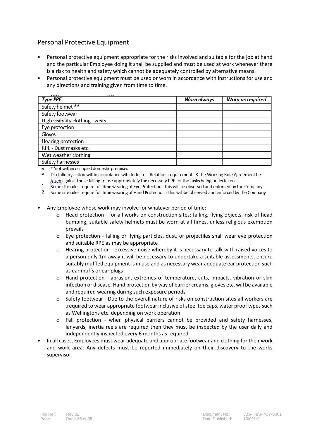## Personal Protective Equipment

- Personal protective equipment appropriate for the risks involved and suitable for the job at hand and the particular Employee doing it shall be supplied and must be used at work whenever there is a risk to health and safety which cannot be adequately controlled by alternative means.
- Personal protective equipment must be used or worn in accordance with instructions for use and any directions and training given from time to time.

| <br><b>Type PPE</b>              | Worn always | Worn as required |
|----------------------------------|-------------|------------------|
| Safety helmet **                 |             |                  |
| Safety footwear                  |             |                  |
| High visibility clothing - vests |             |                  |
| Eye protection                   |             |                  |
| Gloves                           |             |                  |
| Hearing protection               |             |                  |
| RPE - Dust masks etc.            |             |                  |
| Wet weather clothing             |             |                  |
| Safety harnesses                 |             |                  |

\*\* not within occupied domestic premises  $\overline{a}$ 

Disciplinary action will in accordance with Industrial Relations requirements & the Working Rule Agreement be  $\Box$ taken against those failing to use appropriately the necessary PPE for the tasks being undertaken

 $1.$ Some site rules require full time wearing of Eve Protection - this will be observed and enforced by the Company

2 Some site rules require full time wearing of Hand Protection - this will be observed and enforced by the Company

• Any Employee whose work may involve for whatever period of time:

- $\circ$  Head protection for all works on construction sites: falling, flying objects, risk of head bumping, suitable safety helmets must be worn at all times, unless religious exemption prevails
- $\circ$  Eye protection falling or flying particles, dust, or projectiles shall wear eye protection and suitable RPE as may be appropriate
- $\circ$  Hearing protection excessive noise whereby it is necessary to talk with raised voices to a person only 1m away it will be necessary to undertake a suitable assessments, ensure suitably muffled equipment is in use and as necessary wear adequate ear protection such as ear muffs or ear plugs
- o Hand protection abrasion, extremes of temperature, cuts, impacts, vibration or skin infection or disease. Hand protection by way of barrier creams, gloves etc. will be available and required wearing during such exposure periods
- o Safety footwear Due to the overall nature of risks on construction sites all workers are .required to wear appropriate footwear inclusive of steel toe caps, water proof types such as Wellingtons etc. depending on work operation.
- o Fall protection when physical barriers cannot be provided and safety harnesses, lanyards, inertia reels are required then they must be inspected by the user daily and independently inspected every 6 months as required.
- In all cases, Employees must wear adequate and appropriate footwear and clothing for their work and work area. Any defects must be reported immediately on their discovery to the works supervisor.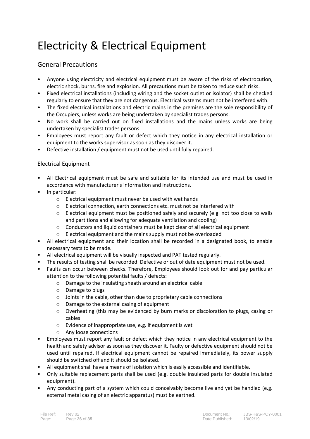## Electricity & Electrical Equipment

## General Precautions

- Anyone using electricity and electrical equipment must be aware of the risks of electrocution, electric shock, burns, fire and explosion. All precautions must be taken to reduce such risks.
- Fixed electrical installations (including wiring and the socket outlet or isolator) shall be checked regularly to ensure that they are not dangerous. Electrical systems must not be interfered with.
- The fixed electrical installations and electric mains in the premises are the sole responsibility of the Occupiers, unless works are being undertaken by specialist trades persons.
- No work shall be carried out on fixed installations and the mains unless works are being undertaken by specialist trades persons.
- Employees must report any fault or defect which they notice in any electrical installation or equipment to the works supervisor as soon as they discover it.
- Defective installation / equipment must not be used until fully repaired.

#### Electrical Equipment

- All Electrical equipment must be safe and suitable for its intended use and must be used in accordance with manufacturer's information and instructions.
- In particular:
	- o Electrical equipment must never be used with wet hands
	- o Electrical connection, earth connections etc. must not be interfered with
	- o Electrical equipment must be positioned safely and securely (e.g. not too close to walls and partitions and allowing for adequate ventilation and cooling)
	- $\circ$  Conductors and liquid containers must be kept clear of all electrical equipment
	- o Electrical equipment and the mains supply must not be overloaded
- All electrical equipment and their location shall be recorded in a designated book, to enable necessary tests to be made.
- All electrical equipment will be visually inspected and PAT tested regularly.
- The results of testing shall be recorded. Defective or out of date equipment must not be used.
- Faults can occur between checks. Therefore, Employees should look out for and pay particular attention to the following potential faults / defects:
	- o Damage to the insulating sheath around an electrical cable
	- o Damage to plugs
	- o Joints in the cable, other than due to proprietary cable connections
	- o Damage to the external casing of equipment
	- $\circ$  Overheating (this may be evidenced by burn marks or discoloration to plugs, casing or cables
	- o Evidence of inappropriate use, e.g. if equipment is wet
	- o Any loose connections
- Employees must report any fault or defect which they notice in any electrical equipment to the health and safety advisor as soon as they discover it. Faulty or defective equipment should not be used until repaired. If electrical equipment cannot be repaired immediately, its power supply should be switched off and it should be isolated.
- All equipment shall have a means of isolation which is easily accessible and identifiable.
- Only suitable replacement parts shall be used (e.g. double insulated parts for double insulated equipment).
- Any conducting part of a system which could conceivably become live and yet be handled (e.g. external metal casing of an electric apparatus) must be earthed.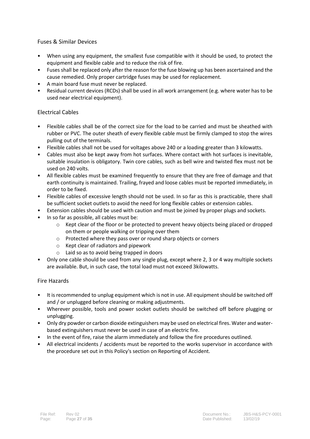#### Fuses & Similar Devices

- When using any equipment, the smallest fuse compatible with it should be used, to protect the equipment and flexible cable and to reduce the risk of fire.
- Fuses shall be replaced only after the reason for the fuse blowing up has been ascertained and the cause remedied. Only proper cartridge fuses may be used for replacement.
- A main board fuse must never be replaced.
- Residual current devices (RCDs) shall be used in all work arrangement (e.g. where water has to be used near electrical equipment).

#### Electrical Cables

- Flexible cables shall be of the correct size for the load to be carried and must be sheathed with rubber or PVC. The outer sheath of every flexible cable must be firmly clamped to stop the wires pulling out of the terminals.
- Flexible cables shall not be used for voltages above 240 or a loading greater than 3 kilowatts.
- Cables must also be kept away from hot surfaces. Where contact with hot surfaces is inevitable, suitable insulation is obligatory. Twin core cables, such as bell wire and twisted flex must not be used on 240 volts.
- All flexible cables must be examined frequently to ensure that they are free of damage and that earth continuity is maintained. Trailing, frayed and loose cables must be reported immediately, in order to be fixed.
- Flexible cables of excessive length should not be used. In so far as this is practicable, there shall be sufficient socket outlets to avoid the need for long flexible cables or extension cables.
- Extension cables should be used with caution and must be joined by proper plugs and sockets.
- In so far as possible, all cables must be:
	- o Kept clear of the floor or be protected to prevent heavy objects being placed or dropped on them or people walking or tripping over them
	- o Protected where they pass over or round sharp objects or corners
	- o Kept clear of radiators and pipework
	- o Laid so as to avoid being trapped in doors
- Only one cable should be used from any single plug, except where 2, 3 or 4 way multiple sockets are available. But, in such case, the total load must not exceed 3kilowatts.

#### Fire Hazards

- It is recommended to unplug equipment which is not in use. All equipment should be switched off and / or unplugged before cleaning or making adjustments.
- Wherever possible, tools and power socket outlets should be switched off before plugging or unplugging.
- Only dry powder or carbon dioxide extinguishers may be used on electrical fires. Water and waterbased extinguishers must never be used in case of an electric fire.
- In the event of fire, raise the alarm immediately and follow the fire procedures outlined.
- All electrical incidents / accidents must be reported to the works supervisor in accordance with the procedure set out in this Policy's section on Reporting of Accident.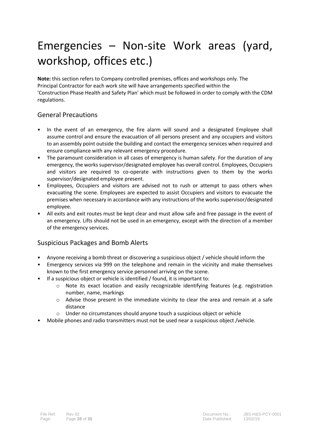# Emergencies – Non-site Work areas (yard, workshop, offices etc.)

**Note:** this section refers to Company controlled premises, offices and workshops only. The Principal Contractor for each work site will have arrangements specified within the 'Construction Phase Health and Safety Plan' which must be followed in order to comply with the CDM regulations.

## General Precautions

- In the event of an emergency, the fire alarm will sound and a designated Employee shall assume control and ensure the evacuation of all persons present and any occupiers and visitors to an assembly point outside the building and contact the emergency services when required and ensure compliance with any relevant emergency procedure.
- The paramount consideration in all cases of emergency is human safety. For the duration of any emergency, the works supervisor/designated employee has overall control. Employees, Occupiers and visitors are required to co-operate with instructions given to them by the works supervisor/designated employee present.
- Employees, Occupiers and visitors are advised not to rush or attempt to pass others when evacuating the scene. Employees are expected to assist Occupiers and visitors to evacuate the premises when necessary in accordance with any instructions of the works supervisor/designated employee.
- All exits and exit routes must be kept clear and must allow safe and free passage in the event of an emergency. Lifts should not be used in an emergency, except with the direction of a member of the emergency services.

## Suspicious Packages and Bomb Alerts

- Anyone receiving a bomb threat or discovering a suspicious object / vehicle should inform the
- Emergency services via 999 on the telephone and remain in the vicinity and make themselves known to the first emergency service personnel arriving on the scene.
- If a suspicious object or vehicle is identified / found, it is important to:
	- $\circ$  Note its exact location and easily recognizable identifying features (e.g. registration number, name, markings
	- $\circ$  Advise those present in the immediate vicinity to clear the area and remain at a safe distance
	- Under no circumstances should anyone touch a suspicious object or vehicle
- Mobile phones and radio transmitters must not be used near a suspicious object /vehicle.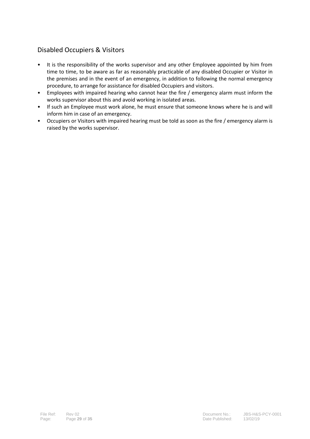## Disabled Occupiers & Visitors

- It is the responsibility of the works supervisor and any other Employee appointed by him from time to time, to be aware as far as reasonably practicable of any disabled Occupier or Visitor in the premises and in the event of an emergency, in addition to following the normal emergency procedure, to arrange for assistance for disabled Occupiers and visitors.
- Employees with impaired hearing who cannot hear the fire / emergency alarm must inform the works supervisor about this and avoid working in isolated areas.
- If such an Employee must work alone, he must ensure that someone knows where he is and will inform him in case of an emergency.
- Occupiers or Visitors with impaired hearing must be told as soon as the fire / emergency alarm is raised by the works supervisor.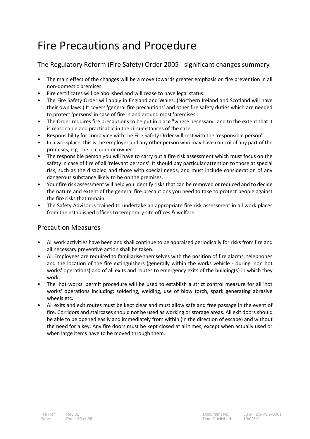## Fire Precautions and Procedure

## The Regulatory Reform (Fire Safety) Order 2005 - significant changes summary

- The main effect of the changes will be a move towards greater emphasis on fire prevention in all non-domestic premises.
- Fire certificates will be abolished and will cease to have legal status.
- The Fire Safety Order will apply in England and Wales. (Northern Ireland and Scotland will have their own laws.) It covers 'general fire precautions' and other fire safety duties which are needed to protect 'persons' in case of fire in and around most 'premises'.
- The Order requires fire precautions to be put in place "where necessary" and to the extent that it is reasonable and practicable in the circumstances of the case.
- Responsibility for complying with the Fire Safety Order will rest with the 'responsible person'.
- In a workplace, this is the employer and any other person who may have control of any part of the premises, e.g. the occupier or owner.
- The responsible person you will have to carry out a fire risk assessment which must focus on the safety in case of fire of all 'relevant persons'. It should pay particular attention to those at special risk, such as the disabled and those with special needs, and must include consideration of any dangerous substance likely to be on the premises.
- Your fire risk assessment will help you identify risks that can be removed or reduced and to decide the nature and extent of the general fire precautions you need to take to protect people against the fire risks that remain.
- The Safety Advisor is trained to undertake an appropriate fire risk assessment in all work places from the established offices to temporary site offices & welfare.

## Precaution Measures

- All work activities have been and shall continue to be appraised periodically for risks from fire and all necessary preventive action shall be taken.
- All Employees are required to familiarise themselves with the position of fire alarms, telephones and the location of the fire extinguishers (generally within the works vehicle - during 'non hot works' operations) and of all exits and routes to emergency exits of the building(s) in which they work.
- The 'hot works' permit procedure will be used to establish a strict control measure for all 'hot works' operations including: soldering, welding, use of blow torch, spark generating abrasive wheels etc.
- All exits and exit routes must be kept clear and must allow safe and free passage in the event of fire. Corridors and staircases should not be used as working or storage areas. All exit doors should be able to be opened easily and immediately from within (in the direction of escape) and without the need for a key. Any fire doors must be kept closed at all times, except when actually used or when large items have to be moved through them.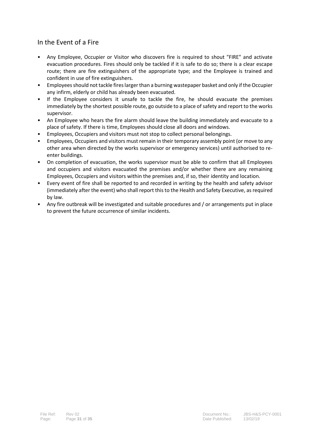## In the Event of a Fire

- Any Employee, Occupier or Visitor who discovers fire is required to shout "FIRE" and activate evacuation procedures. Fires should only be tackled if it is safe to do so; there is a clear escape route; there are fire extinguishers of the appropriate type; and the Employee is trained and confident in use of fire extinguishers.
- Employees should not tackle fires larger than a burning wastepaper basket and only if the Occupier any infirm, elderly or child has already been evacuated.
- If the Employee considers it unsafe to tackle the fire, he should evacuate the premises immediately by the shortest possible route, go outside to a place of safety and report to the works supervisor.
- An Employee who hears the fire alarm should leave the building immediately and evacuate to a place of safety. If there is time, Employees should close all doors and windows.
- Employees, Occupiers and visitors must not stop to collect personal belongings.
- Employees, Occupiers and visitors must remain in their temporary assembly point (or move to any other area when directed by the works supervisor or emergency services) until authorised to reenter buildings.
- On completion of evacuation, the works supervisor must be able to confirm that all Employees and occupiers and visitors evacuated the premises and/or whether there are any remaining Employees, Occupiers and visitors within the premises and, if so, their identity and location.
- Every event of fire shall be reported to and recorded in writing by the health and safety advisor (immediately after the event) who shall report this to the Health and Safety Executive, as required by law.
- Any fire outbreak will be investigated and suitable procedures and / or arrangements put in place to prevent the future occurrence of similar incidents.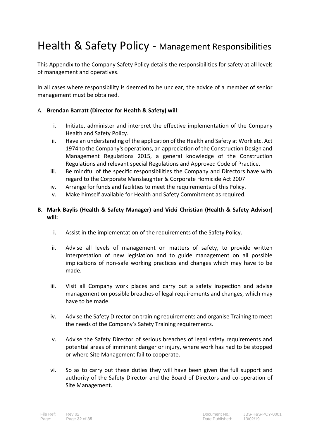## Health & Safety Policy - Management Responsibilities

This Appendix to the Company Safety Policy details the responsibilities for safety at all levels of management and operatives.

In all cases where responsibility is deemed to be unclear, the advice of a member of senior management must be obtained.

#### A. **Brendan Barratt (Director for Health & Safety) will**:

- i. Initiate, administer and interpret the effective implementation of the Company Health and Safety Policy.
- ii. Have an understanding of the application of the Health and Safety at Work etc. Act 1974 to the Company's operations, an appreciation of the Construction Design and Management Regulations 2015, a general knowledge of the Construction Regulations and relevant special Regulations and Approved Code of Practice.
- iii. Be mindful of the specific responsibilities the Company and Directors have with regard to the Corporate Manslaughter & Corporate Homicide Act 2007
- iv. Arrange for funds and facilities to meet the requirements of this Policy.
- v. Make himself available for Health and Safety Commitment as required.

#### **B. Mark Baylis (Health & Safety Manager) and Vicki Christian (Health & Safety Advisor) will:**

- i. Assist in the implementation of the requirements of the Safety Policy.
- ii. Advise all levels of management on matters of safety, to provide written interpretation of new legislation and to guide management on all possible implications of non-safe working practices and changes which may have to be made.
- iii. Visit all Company work places and carry out a safety inspection and advise management on possible breaches of legal requirements and changes, which may have to be made.
- iv. Advise the Safety Director on training requirements and organise Training to meet the needs of the Company's Safety Training requirements.
- v. Advise the Safety Director of serious breaches of legal safety requirements and potential areas of imminent danger or injury, where work has had to be stopped or where Site Management fail to cooperate.
- vi. So as to carry out these duties they will have been given the full support and authority of the Safety Director and the Board of Directors and co-operation of Site Management.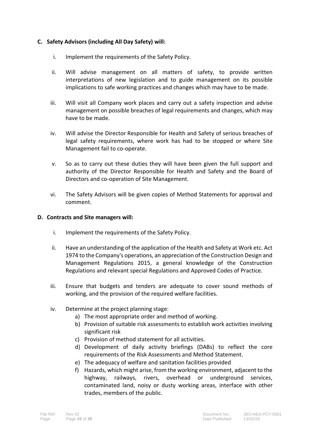#### **C. Safety Advisors (including All Day Safety) will:**

- i. Implement the requirements of the Safety Policy.
- ii. Will advise management on all matters of safety, to provide written interpretations of new legislation and to guide management on its possible implications to safe working practices and changes which may have to be made.
- iii. Will visit all Company work places and carry out a safety inspection and advise management on possible breaches of legal requirements and changes, which may have to be made.
- iv. Will advise the Director Responsible for Health and Safety of serious breaches of legal safety requirements, where work has had to be stopped or where Site Management fail to co-operate.
- v. So as to carry out these duties they will have been given the full support and authority of the Director Responsible for Health and Safety and the Board of Directors and co-operation of Site Management.
- vi. The Safety Advisors will be given copies of Method Statements for approval and comment.

#### **D. Contracts and Site managers will:**

- i. Implement the requirements of the Safety Policy.
- ii. Have an understanding of the application of the Health and Safety at Work etc. Act 1974 to the Company's operations, an appreciation of the Construction Design and Management Regulations 2015, a general knowledge of the Construction Regulations and relevant special Regulations and Approved Codes of Practice.
- iii. Ensure that budgets and tenders are adequate to cover sound methods of working, and the provision of the required welfare facilities.
- iv. Determine at the project planning stage:
	- a) The most appropriate order and method of working.
	- b) Provision of suitable risk assessments to establish work activities involving significant risk
	- c) Provision of method statement for all activities.
	- d) Development of daily activity briefings (DABs) to reflect the core requirements of the Risk Assessments and Method Statement.
	- e) The adequacy of welfare and sanitation facilities provided
	- f) Hazards, which might arise, from the working environment, adjacent to the highway, railways, rivers, overhead or underground services, contaminated land, noisy or dusty working areas, interface with other trades, members of the public.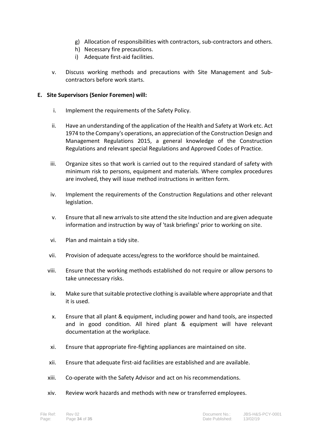- g) Allocation of responsibilities with contractors, sub-contractors and others.
- h) Necessary fire precautions.
- i) Adequate first-aid facilities.
- v. Discuss working methods and precautions with Site Management and Subcontractors before work starts.

#### **E. Site Supervisors (Senior Foremen) will:**

- i. Implement the requirements of the Safety Policy.
- ii. Have an understanding of the application of the Health and Safety at Work etc. Act 1974 to the Company's operations, an appreciation of the Construction Design and Management Regulations 2015, a general knowledge of the Construction Regulations and relevant special Regulations and Approved Codes of Practice.
- iii. Organize sites so that work is carried out to the required standard of safety with minimum risk to persons, equipment and materials. Where complex procedures are involved, they will issue method instructions in written form.
- iv. Implement the requirements of the Construction Regulations and other relevant legislation.
- v. Ensure that all new arrivals to site attend the site Induction and are given adequate information and instruction by way of 'task briefings' prior to working on site.
- vi. Plan and maintain a tidy site.
- vii. Provision of adequate access/egress to the workforce should be maintained.
- viii. Ensure that the working methods established do not require or allow persons to take unnecessary risks.
- ix. Make sure that suitable protective clothing is available where appropriate and that it is used.
- x. Ensure that all plant & equipment, including power and hand tools, are inspected and in good condition. All hired plant & equipment will have relevant documentation at the workplace.
- xi. Ensure that appropriate fire-fighting appliances are maintained on site.
- xii. Ensure that adequate first-aid facilities are established and are available.
- xiii. Co-operate with the Safety Advisor and act on his recommendations.
- xiv. Review work hazards and methods with new or transferred employees.